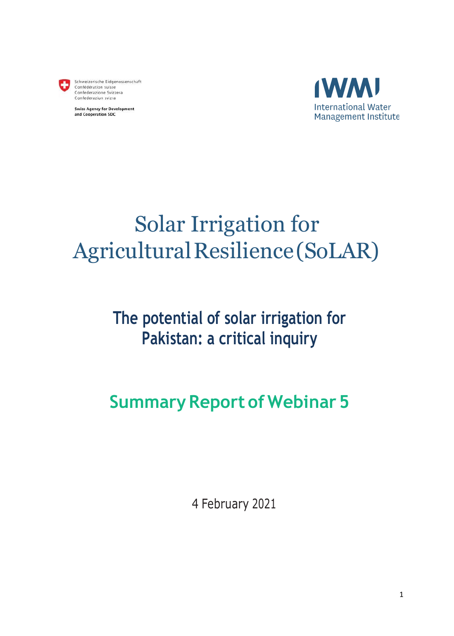

Schweizerische Eidgenossenschaft<br>Confédération suisse Confederazione Svizzera Confederaziun svizra

**Swiss Agency for Development** and Cooperation SDC



# Solar Irrigation for Agricultural Resilience (SoLAR)

# **The potential of solar irrigation for Pakistan: a critical inquiry**

# **Summary Report of Webinar 5**

4 February 2021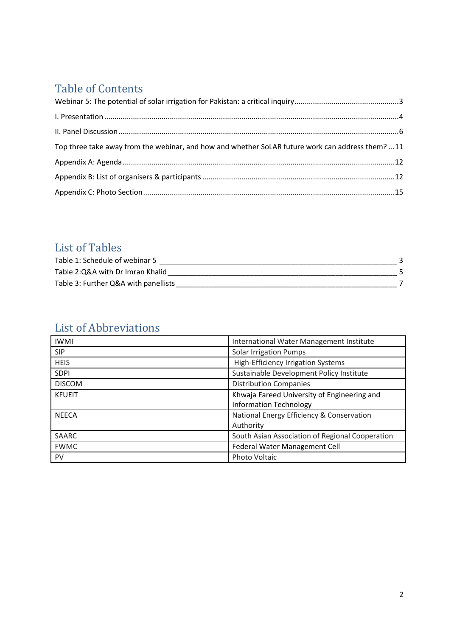# Table of Contents

| Top three take away from the webinar, and how and whether SoLAR future work can address them? 11 |  |
|--------------------------------------------------------------------------------------------------|--|
|                                                                                                  |  |
|                                                                                                  |  |
|                                                                                                  |  |

# List of Tables

| Table 1: Schedule of webinar 5       |  |
|--------------------------------------|--|
| Table 2:Q&A with Dr Imran Khalid     |  |
| Table 3: Further Q&A with panellists |  |

# List of Abbreviations

| <b>IWMI</b>   | International Water Management Institute        |
|---------------|-------------------------------------------------|
| <b>SIP</b>    | <b>Solar Irrigation Pumps</b>                   |
| <b>HEIS</b>   | <b>High-Efficiency Irrigation Systems</b>       |
| <b>SDPI</b>   | Sustainable Development Policy Institute        |
| <b>DISCOM</b> | <b>Distribution Companies</b>                   |
| <b>KFUEIT</b> | Khwaja Fareed University of Engineering and     |
|               | <b>Information Technology</b>                   |
| <b>NEECA</b>  | National Energy Efficiency & Conservation       |
|               | Authority                                       |
| SAARC         | South Asian Association of Regional Cooperation |
| <b>FWMC</b>   | Federal Water Management Cell                   |
| <b>PV</b>     | Photo Voltaic                                   |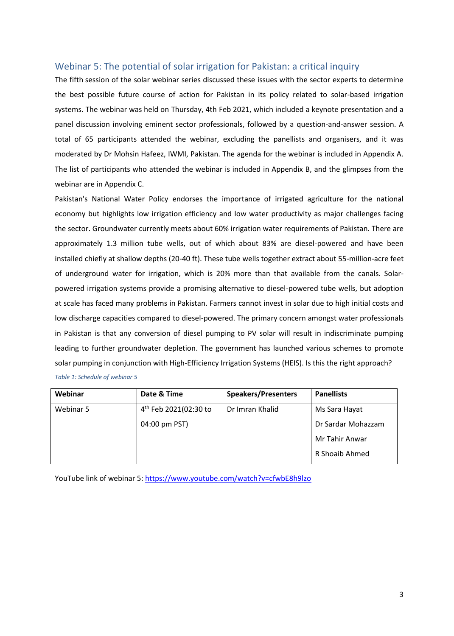## <span id="page-2-0"></span>Webinar 5: The potential of solar irrigation for Pakistan: a critical inquiry

The fifth session of the solar webinar series discussed these issues with the sector experts to determine the best possible future course of action for Pakistan in its policy related to solar-based irrigation systems. The webinar was held on Thursday, 4th Feb 2021, which included a keynote presentation and a panel discussion involving eminent sector professionals, followed by a question-and-answer session. A total of 65 participants attended the webinar, excluding the panellists and organisers, and it was moderated by Dr Mohsin Hafeez, IWMI, Pakistan. The agenda for the webinar is included in Appendix A. The list of participants who attended the webinar is included in Appendix B, and the glimpses from the webinar are in Appendix C.

Pakistan's National Water Policy endorses the importance of irrigated agriculture for the national economy but highlights low irrigation efficiency and low water productivity as major challenges facing the sector. Groundwater currently meets about 60% irrigation water requirements of Pakistan. There are approximately 1.3 million tube wells, out of which about 83% are diesel-powered and have been installed chiefly at shallow depths (20-40 ft). These tube wells together extract about 55-million-acre feet of underground water for irrigation, which is 20% more than that available from the canals. Solarpowered irrigation systems provide a promising alternative to diesel-powered tube wells, but adoption at scale has faced many problems in Pakistan. Farmers cannot invest in solar due to high initial costs and low discharge capacities compared to diesel-powered. The primary concern amongst water professionals in Pakistan is that any conversion of diesel pumping to PV solar will result in indiscriminate pumping leading to further groundwater depletion. The government has launched various schemes to promote solar pumping in conjunction with High-Efficiency Irrigation Systems (HEIS). Is this the right approach? *Table 1: Schedule of webinar 5*

<span id="page-2-1"></span>

| Webinar   | Date & Time                       | <b>Speakers/Presenters</b> | <b>Panellists</b>  |
|-----------|-----------------------------------|----------------------------|--------------------|
| Webinar 5 | 4 <sup>th</sup> Feb 2021(02:30 to | Dr Imran Khalid            | Ms Sara Hayat      |
|           | 04:00 pm PST)                     |                            | Dr Sardar Mohazzam |
|           |                                   |                            | Mr Tahir Anwar     |
|           |                                   |                            | R Shoaib Ahmed     |

YouTube link of webinar 5:<https://www.youtube.com/watch?v=cfwbE8h9lzo>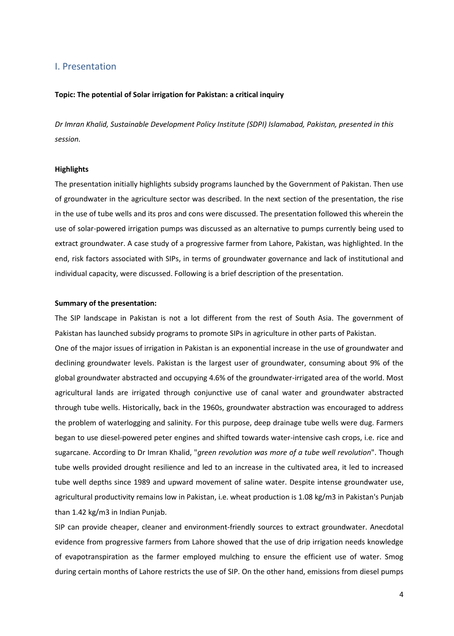### <span id="page-3-0"></span>I. Presentation

#### **Topic: The potential of Solar irrigation for Pakistan: a critical inquiry**

*Dr Imran Khalid, Sustainable Development Policy Institute (SDPI) Islamabad, Pakistan, presented in this session.*

#### **Highlights**

The presentation initially highlights subsidy programs launched by the Government of Pakistan. Then use of groundwater in the agriculture sector was described. In the next section of the presentation, the rise in the use of tube wells and its pros and cons were discussed. The presentation followed this wherein the use of solar-powered irrigation pumps was discussed as an alternative to pumps currently being used to extract groundwater. A case study of a progressive farmer from Lahore, Pakistan, was highlighted. In the end, risk factors associated with SIPs, in terms of groundwater governance and lack of institutional and individual capacity, were discussed. Following is a brief description of the presentation.

#### **Summary of the presentation:**

The SIP landscape in Pakistan is not a lot different from the rest of South Asia. The government of Pakistan has launched subsidy programs to promote SIPs in agriculture in other parts of Pakistan.

One of the major issues of irrigation in Pakistan is an exponential increase in the use of groundwater and declining groundwater levels. Pakistan is the largest user of groundwater, consuming about 9% of the global groundwater abstracted and occupying 4.6% of the groundwater-irrigated area of the world. Most agricultural lands are irrigated through conjunctive use of canal water and groundwater abstracted through tube wells. Historically, back in the 1960s, groundwater abstraction was encouraged to address the problem of waterlogging and salinity. For this purpose, deep drainage tube wells were dug. Farmers began to use diesel-powered peter engines and shifted towards water-intensive cash crops, i.e. rice and sugarcane. According to Dr Imran Khalid, "*green revolution was more of a tube well revolution*". Though tube wells provided drought resilience and led to an increase in the cultivated area, it led to increased tube well depths since 1989 and upward movement of saline water. Despite intense groundwater use, agricultural productivity remains low in Pakistan, i.e. wheat production is 1.08 kg/m3 in Pakistan's Punjab than 1.42 kg/m3 in Indian Punjab.

SIP can provide cheaper, cleaner and environment-friendly sources to extract groundwater. Anecdotal evidence from progressive farmers from Lahore showed that the use of drip irrigation needs knowledge of evapotranspiration as the farmer employed mulching to ensure the efficient use of water. Smog during certain months of Lahore restricts the use of SIP. On the other hand, emissions from diesel pumps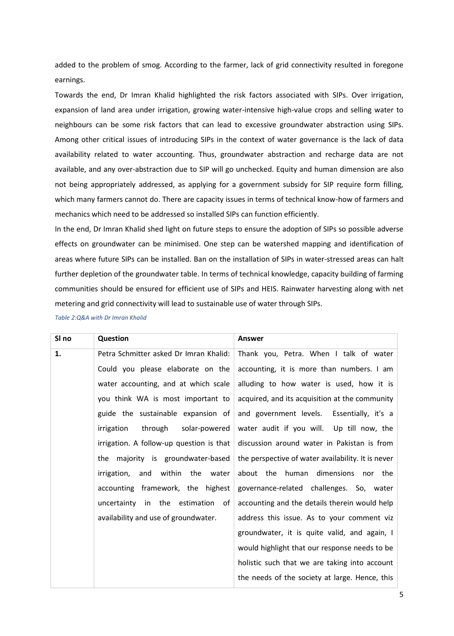added to the problem of smog. According to the farmer, lack of grid connectivity resulted in foregone earnings.

Towards the end, Dr Imran Khalid highlighted the risk factors associated with SIPs. Over irrigation, expansion of land area under irrigation, growing water-intensive high-value crops and selling water to neighbours can be some risk factors that can lead to excessive groundwater abstraction using SIPs. Among other critical issues of introducing SIPs in the context of water governance is the lack of data availability related to water accounting. Thus, groundwater abstraction and recharge data are not available, and any over-abstraction due to SIP will go unchecked. Equity and human dimension are also not being appropriately addressed, as applying for a government subsidy for SIP require form filling, which many farmers cannot do. There are capacity issues in terms of technical know-how of farmers and mechanics which need to be addressed so installed SIPs can function efficiently.

In the end, Dr Imran Khalid shed light on future steps to ensure the adoption of SIPs so possible adverse effects on groundwater can be minimised. One step can be watershed mapping and identification of areas where future SIPs can be installed. Ban on the installation of SIPs in water-stressed areas can halt further depletion of the groundwater table. In terms of technical knowledge, capacity building of farming communities should be ensured for efficient use of SIPs and HEIS. Rainwater harvesting along with net metering and grid connectivity will lead to sustainable use of water through SIPs.

| SI no | Question                                 | <b>Answer</b>                                                                  |
|-------|------------------------------------------|--------------------------------------------------------------------------------|
| 1.    | Petra Schmitter asked Dr Imran Khalid:   | Thank you, Petra. When I talk of water                                         |
|       | Could you please elaborate on the        | accounting, it is more than numbers. I am                                      |
|       | water accounting, and at which scale     | alluding to how water is used, how it is                                       |
|       | you think WA is most important to        | acquired, and its acquisition at the community                                 |
|       | guide the sustainable expansion of       | and government levels. Essentially, it's a                                     |
|       | through solar-powered<br>irrigation      | water audit if you will. Up till now, the                                      |
|       | irrigation. A follow-up question is that | discussion around water in Pakistan is from                                    |
|       | the majority is groundwater-based        | the perspective of water availability. It is never                             |
|       | irrigation, and within the water         | about the human dimensions nor the                                             |
|       |                                          | accounting framework, the highest governance-related challenges. So, water     |
|       |                                          | uncertainty in the estimation of accounting and the details therein would help |
|       | availability and use of groundwater.     | address this issue. As to your comment viz                                     |
|       |                                          |                                                                                |

<span id="page-4-0"></span>*Table 2:Q&A with Dr Imran Khalid*

groundwater, it is quite valid, and again, I would highlight that our response needs to be

holistic such that we are taking into account

the needs of the society at large. Hence, this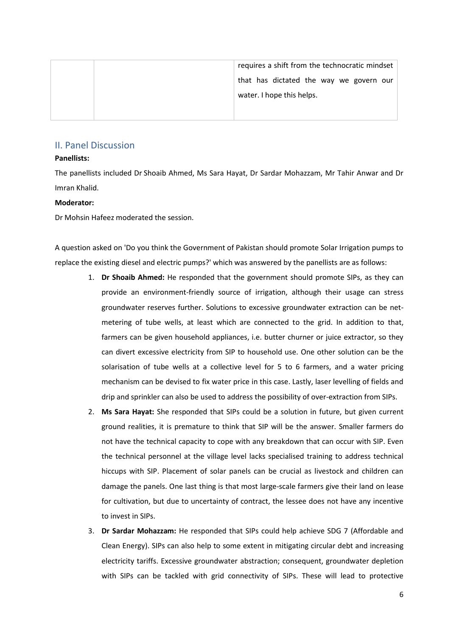|  | requires a shift from the technocratic mindset |  |
|--|------------------------------------------------|--|
|  | that has dictated the way we govern our        |  |
|  | water. I hope this helps.                      |  |
|  |                                                |  |

## <span id="page-5-0"></span>II. Panel Discussion

### **Panellists:**

The panellists included Dr Shoaib Ahmed, Ms Sara Hayat, Dr Sardar Mohazzam, Mr Tahir Anwar and Dr Imran Khalid.

### **Moderator:**

Dr Mohsin Hafeez moderated the session.

A question asked on 'Do you think the Government of Pakistan should promote Solar Irrigation pumps to replace the existing diesel and electric pumps?' which was answered by the panellists are as follows:

- 1. **Dr Shoaib Ahmed:** He responded that the government should promote SIPs, as they can provide an environment-friendly source of irrigation, although their usage can stress groundwater reserves further. Solutions to excessive groundwater extraction can be netmetering of tube wells, at least which are connected to the grid. In addition to that, farmers can be given household appliances, i.e. butter churner or juice extractor, so they can divert excessive electricity from SIP to household use. One other solution can be the solarisation of tube wells at a collective level for 5 to 6 farmers, and a water pricing mechanism can be devised to fix water price in this case. Lastly, laser levelling of fields and drip and sprinkler can also be used to address the possibility of over-extraction from SIPs.
- 2. **Ms Sara Hayat:** She responded that SIPs could be a solution in future, but given current ground realities, it is premature to think that SIP will be the answer. Smaller farmers do not have the technical capacity to cope with any breakdown that can occur with SIP. Even the technical personnel at the village level lacks specialised training to address technical hiccups with SIP. Placement of solar panels can be crucial as livestock and children can damage the panels. One last thing is that most large-scale farmers give their land on lease for cultivation, but due to uncertainty of contract, the lessee does not have any incentive to invest in SIPs.
- 3. **Dr Sardar Mohazzam:** He responded that SIPs could help achieve SDG 7 (Affordable and Clean Energy). SIPs can also help to some extent in mitigating circular debt and increasing electricity tariffs. Excessive groundwater abstraction; consequent, groundwater depletion with SIPs can be tackled with grid connectivity of SIPs. These will lead to protective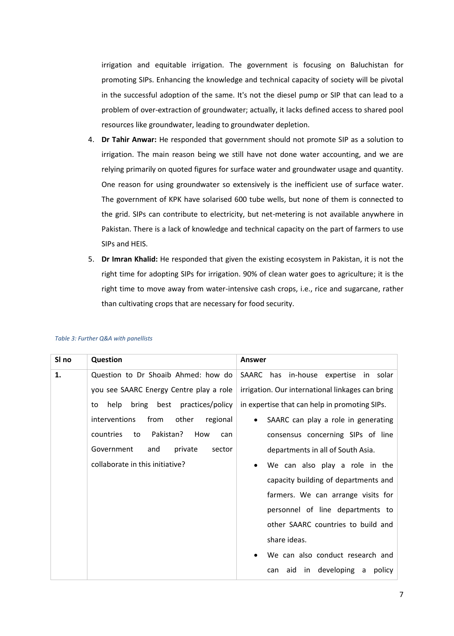irrigation and equitable irrigation. The government is focusing on Baluchistan for promoting SIPs. Enhancing the knowledge and technical capacity of society will be pivotal in the successful adoption of the same. It's not the diesel pump or SIP that can lead to a problem of over-extraction of groundwater; actually, it lacks defined access to shared pool resources like groundwater, leading to groundwater depletion.

- 4. **Dr Tahir Anwar:** He responded that government should not promote SIP as a solution to irrigation. The main reason being we still have not done water accounting, and we are relying primarily on quoted figures for surface water and groundwater usage and quantity. One reason for using groundwater so extensively is the inefficient use of surface water. The government of KPK have solarised 600 tube wells, but none of them is connected to the grid. SIPs can contribute to electricity, but net-metering is not available anywhere in Pakistan. There is a lack of knowledge and technical capacity on the part of farmers to use SIPs and HEIS.
- 5. **Dr Imran Khalid:** He responded that given the existing ecosystem in Pakistan, it is not the right time for adopting SIPs for irrigation. 90% of clean water goes to agriculture; it is the right time to move away from water-intensive cash crops, i.e., rice and sugarcane, rather than cultivating crops that are necessary for food security.

| SI no | Question                                   | Answer                                           |  |
|-------|--------------------------------------------|--------------------------------------------------|--|
| 1.    | Question to Dr Shoaib Ahmed: how do        | has in-house expertise in solar<br>SAARC         |  |
|       | you see SAARC Energy Centre play a role    | irrigation. Our international linkages can bring |  |
|       | bring best practices/policy<br>help<br>to  | in expertise that can help in promoting SIPs.    |  |
|       | from<br>interventions<br>other<br>regional | SAARC can play a role in generating              |  |
|       | Pakistan?<br>countries<br>to<br>How<br>can | consensus concerning SIPs of line                |  |
|       | Government<br>private<br>and<br>sector     | departments in all of South Asia.                |  |
|       | collaborate in this initiative?            | We can also play a role in the                   |  |
|       |                                            | capacity building of departments and             |  |
|       |                                            | farmers. We can arrange visits for               |  |
|       |                                            | personnel of line departments to                 |  |
|       |                                            | other SAARC countries to build and               |  |
|       |                                            | share ideas.                                     |  |
|       |                                            | We can also conduct research and                 |  |
|       |                                            | in developing a<br>aid<br>policy<br>can          |  |

#### <span id="page-6-0"></span>*Table 3: Further Q&A with panellists*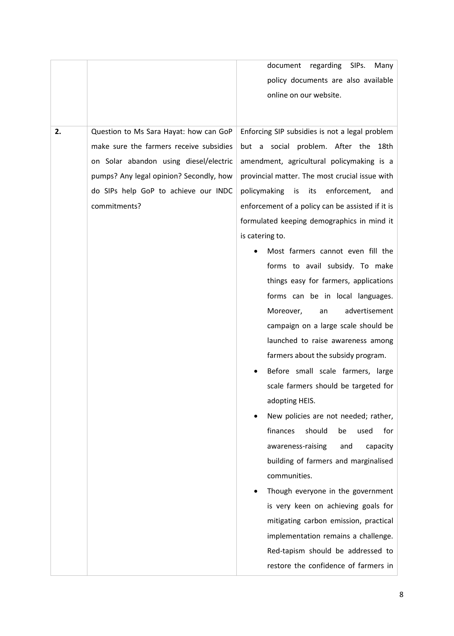|    |                                         | document<br>regarding<br>SIPs.<br>Many           |  |  |
|----|-----------------------------------------|--------------------------------------------------|--|--|
|    |                                         | policy documents are also available              |  |  |
|    |                                         | online on our website.                           |  |  |
|    |                                         |                                                  |  |  |
| 2. | Question to Ms Sara Hayat: how can GoP  | Enforcing SIP subsidies is not a legal problem   |  |  |
|    | make sure the farmers receive subsidies | but a social problem. After the 18th             |  |  |
|    | on Solar abandon using diesel/electric  | amendment, agricultural policymaking is a        |  |  |
|    | pumps? Any legal opinion? Secondly, how | provincial matter. The most crucial issue with   |  |  |
|    | do SIPs help GoP to achieve our INDC    | policymaking is its<br>enforcement,<br>and       |  |  |
|    | commitments?                            | enforcement of a policy can be assisted if it is |  |  |
|    |                                         | formulated keeping demographics in mind it       |  |  |
|    |                                         | is catering to.                                  |  |  |
|    |                                         | Most farmers cannot even fill the                |  |  |
|    |                                         | forms to avail subsidy. To make                  |  |  |
|    |                                         | things easy for farmers, applications            |  |  |
|    |                                         | forms can be in local languages.                 |  |  |
|    |                                         | advertisement<br>Moreover,<br>an                 |  |  |
|    |                                         | campaign on a large scale should be              |  |  |
|    |                                         | launched to raise awareness among                |  |  |
|    |                                         | farmers about the subsidy program.               |  |  |
|    |                                         | Before small scale farmers, large                |  |  |
|    |                                         | scale farmers should be targeted for             |  |  |
|    |                                         | adopting HEIS.                                   |  |  |
|    |                                         | New policies are not needed; rather,             |  |  |
|    |                                         | finances<br>should<br>for<br>used<br>be          |  |  |
|    |                                         | awareness-raising<br>and<br>capacity             |  |  |
|    |                                         | building of farmers and marginalised             |  |  |
|    |                                         | communities.                                     |  |  |
|    |                                         | Though everyone in the government                |  |  |
|    |                                         | is very keen on achieving goals for              |  |  |
|    |                                         | mitigating carbon emission, practical            |  |  |
|    |                                         | implementation remains a challenge.              |  |  |
|    |                                         | Red-tapism should be addressed to                |  |  |
|    |                                         | restore the confidence of farmers in             |  |  |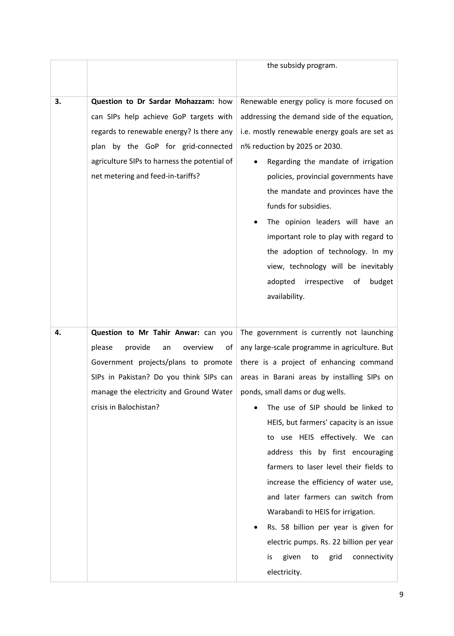|    |                                              | the subsidy program.                          |  |
|----|----------------------------------------------|-----------------------------------------------|--|
|    |                                              |                                               |  |
|    |                                              |                                               |  |
| 3. | Question to Dr Sardar Mohazzam: how          | Renewable energy policy is more focused on    |  |
|    | can SIPs help achieve GoP targets with       | addressing the demand side of the equation,   |  |
|    | regards to renewable energy? Is there any    | i.e. mostly renewable energy goals are set as |  |
|    | plan by the GoP for grid-connected           | n% reduction by 2025 or 2030.                 |  |
|    | agriculture SIPs to harness the potential of | Regarding the mandate of irrigation           |  |
|    | net metering and feed-in-tariffs?            | policies, provincial governments have         |  |
|    |                                              | the mandate and provinces have the            |  |
|    |                                              | funds for subsidies.                          |  |
|    |                                              | The opinion leaders will have an              |  |
|    |                                              | important role to play with regard to         |  |
|    |                                              | the adoption of technology. In my             |  |
|    |                                              | view, technology will be inevitably           |  |
|    |                                              | irrespective<br>budget<br>adopted<br>of       |  |
|    |                                              | availability.                                 |  |
|    |                                              |                                               |  |
|    |                                              |                                               |  |
| 4. | Question to Mr Tahir Anwar: can you          | The government is currently not launching     |  |
|    | provide<br>please<br>overview<br>of<br>an    | any large-scale programme in agriculture. But |  |
|    | Government projects/plans to promote         | there is a project of enhancing command       |  |
|    | SIPs in Pakistan? Do you think SIPs can      | areas in Barani areas by installing SIPs on   |  |
|    | manage the electricity and Ground Water      | ponds, small dams or dug wells.               |  |
|    | crisis in Balochistan?                       | The use of SIP should be linked to            |  |
|    |                                              | HEIS, but farmers' capacity is an issue       |  |
|    |                                              | to use HEIS effectively. We can               |  |
|    |                                              | address this by first encouraging             |  |
|    |                                              | farmers to laser level their fields to        |  |
|    |                                              | increase the efficiency of water use,         |  |
|    |                                              | and later farmers can switch from             |  |
|    |                                              | Warabandi to HEIS for irrigation.             |  |
|    |                                              | Rs. 58 billion per year is given for          |  |
|    |                                              | electric pumps. Rs. 22 billion per year       |  |
|    |                                              | given<br>grid<br>connectivity<br>is<br>to     |  |
|    |                                              | electricity.                                  |  |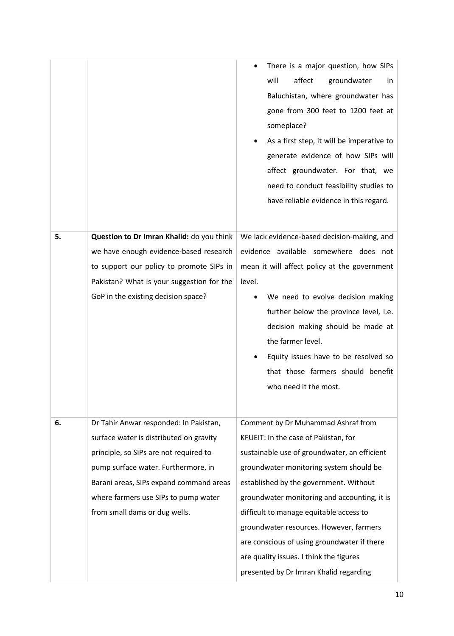|    |                                                                                                                                                                                                                                                                                        | There is a major question, how SIPs<br>will<br>affect<br>groundwater<br>in.<br>Baluchistan, where groundwater has<br>gone from 300 feet to 1200 feet at<br>someplace?<br>As a first step, it will be imperative to<br>generate evidence of how SIPs will<br>affect groundwater. For that, we<br>need to conduct feasibility studies to                                                                                                                                                    |
|----|----------------------------------------------------------------------------------------------------------------------------------------------------------------------------------------------------------------------------------------------------------------------------------------|-------------------------------------------------------------------------------------------------------------------------------------------------------------------------------------------------------------------------------------------------------------------------------------------------------------------------------------------------------------------------------------------------------------------------------------------------------------------------------------------|
|    |                                                                                                                                                                                                                                                                                        | have reliable evidence in this regard.                                                                                                                                                                                                                                                                                                                                                                                                                                                    |
| 5. | Question to Dr Imran Khalid: do you think<br>we have enough evidence-based research<br>to support our policy to promote SIPs in<br>Pakistan? What is your suggestion for the<br>GoP in the existing decision space?                                                                    | We lack evidence-based decision-making, and<br>evidence available somewhere does not<br>mean it will affect policy at the government<br>level.<br>We need to evolve decision making<br>further below the province level, i.e.<br>decision making should be made at<br>the farmer level.<br>Equity issues have to be resolved so<br>that those farmers should benefit<br>who need it the most.                                                                                             |
| 6. | Dr Tahir Anwar responded: In Pakistan,<br>surface water is distributed on gravity<br>principle, so SIPs are not required to<br>pump surface water. Furthermore, in<br>Barani areas, SIPs expand command areas<br>where farmers use SIPs to pump water<br>from small dams or dug wells. | Comment by Dr Muhammad Ashraf from<br>KFUEIT: In the case of Pakistan, for<br>sustainable use of groundwater, an efficient<br>groundwater monitoring system should be<br>established by the government. Without<br>groundwater monitoring and accounting, it is<br>difficult to manage equitable access to<br>groundwater resources. However, farmers<br>are conscious of using groundwater if there<br>are quality issues. I think the figures<br>presented by Dr Imran Khalid regarding |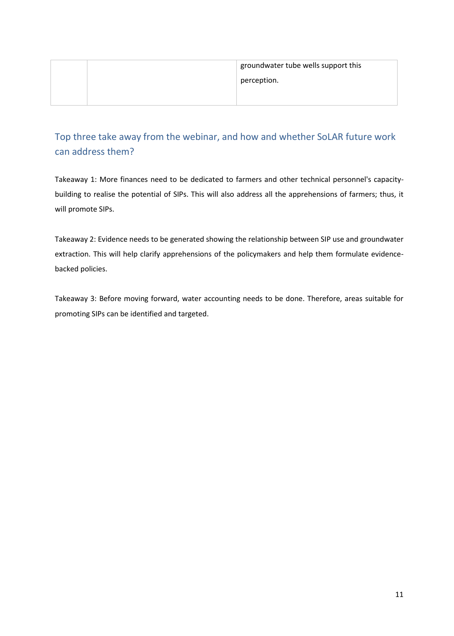|  | groundwater tube wells support this |
|--|-------------------------------------|
|  | perception.                         |
|  |                                     |

## <span id="page-10-0"></span>Top three take away from the webinar, and how and whether SoLAR future work can address them?

Takeaway 1: More finances need to be dedicated to farmers and other technical personnel's capacitybuilding to realise the potential of SIPs. This will also address all the apprehensions of farmers; thus, it will promote SIPs.

Takeaway 2: Evidence needs to be generated showing the relationship between SIP use and groundwater extraction. This will help clarify apprehensions of the policymakers and help them formulate evidencebacked policies.

Takeaway 3: Before moving forward, water accounting needs to be done. Therefore, areas suitable for promoting SIPs can be identified and targeted.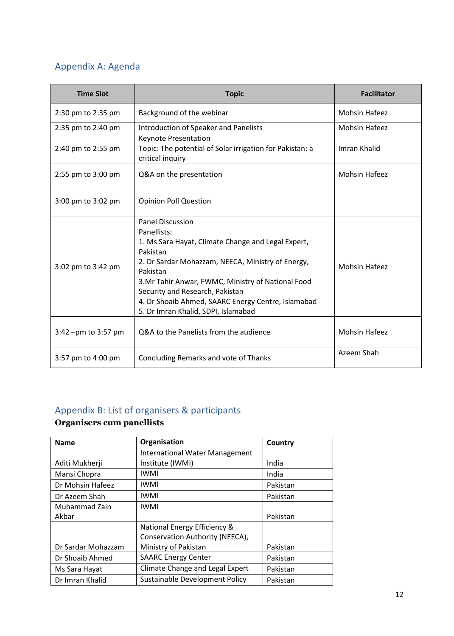## <span id="page-11-0"></span>Appendix A: Agenda

| <b>Time Slot</b>    | <b>Topic</b>                                                                                                                                                                                                                                                                                                                                                   | <b>Facilitator</b>   |
|---------------------|----------------------------------------------------------------------------------------------------------------------------------------------------------------------------------------------------------------------------------------------------------------------------------------------------------------------------------------------------------------|----------------------|
| 2:30 pm to 2:35 pm  | Background of the webinar                                                                                                                                                                                                                                                                                                                                      | <b>Mohsin Hafeez</b> |
| 2:35 pm to 2:40 pm  | Introduction of Speaker and Panelists                                                                                                                                                                                                                                                                                                                          | <b>Mohsin Hafeez</b> |
| 2:40 pm to 2:55 pm  | Keynote Presentation<br>Topic: The potential of Solar irrigation for Pakistan: a<br>critical inquiry                                                                                                                                                                                                                                                           | Imran Khalid         |
| 2:55 pm to 3:00 pm  | Q&A on the presentation                                                                                                                                                                                                                                                                                                                                        | <b>Mohsin Hafeez</b> |
| 3:00 pm to 3:02 pm  | <b>Opinion Poll Question</b>                                                                                                                                                                                                                                                                                                                                   |                      |
| 3:02 pm to 3:42 pm  | <b>Panel Discussion</b><br>Panellists:<br>1. Ms Sara Hayat, Climate Change and Legal Expert,<br>Pakistan<br>2. Dr Sardar Mohazzam, NEECA, Ministry of Energy,<br>Pakistan<br>3.Mr Tahir Anwar, FWMC, Ministry of National Food<br>Security and Research, Pakistan<br>4. Dr Shoaib Ahmed, SAARC Energy Centre, Islamabad<br>5. Dr Imran Khalid, SDPI, Islamabad | <b>Mohsin Hafeez</b> |
| 3:42 -pm to 3:57 pm | Q&A to the Panelists from the audience                                                                                                                                                                                                                                                                                                                         | <b>Mohsin Hafeez</b> |
| 3:57 pm to 4:00 pm  | Concluding Remarks and vote of Thanks                                                                                                                                                                                                                                                                                                                          | Azeem Shah           |

# <span id="page-11-1"></span>Appendix B: List of organisers & participants

## **Organisers cum panellists**

| <b>Name</b>        | Organisation                          | Country  |
|--------------------|---------------------------------------|----------|
|                    | <b>International Water Management</b> |          |
| Aditi Mukherji     | Institute (IWMI)                      | India    |
| Mansi Chopra       | <b>IWMI</b>                           | India    |
| Dr Mohsin Hafeez   | IWMI                                  | Pakistan |
| Dr Azeem Shah      | <b>IWMI</b>                           | Pakistan |
| Muhammad Zain      | <b>IWMI</b>                           |          |
| Akbar              |                                       | Pakistan |
|                    | National Energy Efficiency &          |          |
|                    | Conservation Authority (NEECA),       |          |
| Dr Sardar Mohazzam | Ministry of Pakistan                  | Pakistan |
| Dr Shoaib Ahmed    | <b>SAARC Energy Center</b>            | Pakistan |
| Ms Sara Hayat      | Climate Change and Legal Expert       | Pakistan |
| Dr Imran Khalid    | Sustainable Development Policy        | Pakistan |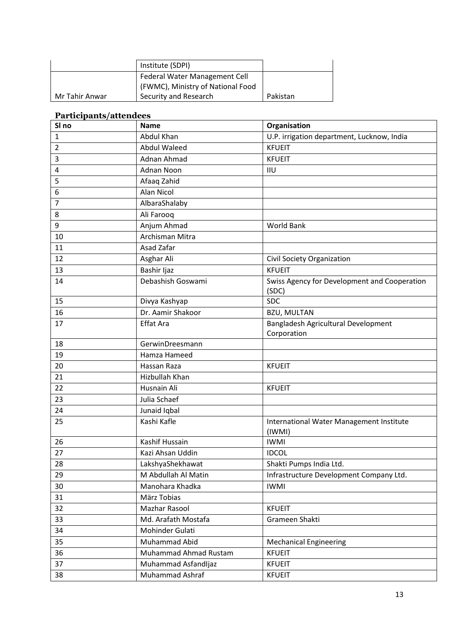|                               | Institute (SDPI)                  |          |
|-------------------------------|-----------------------------------|----------|
| Federal Water Management Cell |                                   |          |
|                               | (FWMC), Ministry of National Food |          |
| Mr Tahir Anwar                | Security and Research             | Pakistan |

## **Participants/attendees**

| SI no        | <b>Name</b>           | Organisation                                          |
|--------------|-----------------------|-------------------------------------------------------|
| $\mathbf{1}$ | Abdul Khan            | U.P. irrigation department, Lucknow, India            |
| 2            | <b>Abdul Waleed</b>   | <b>KFUEIT</b>                                         |
| 3            | Adnan Ahmad           | <b>KFUEIT</b>                                         |
| 4            | <b>Adnan Noon</b>     | <b>IIU</b>                                            |
| 5            | Afaaq Zahid           |                                                       |
| 6            | Alan Nicol            |                                                       |
| 7            | AlbaraShalaby         |                                                       |
| 8            | Ali Farooq            |                                                       |
| 9            | Anjum Ahmad           | <b>World Bank</b>                                     |
| 10           | Archisman Mitra       |                                                       |
| 11           | Asad Zafar            |                                                       |
| 12           | Asghar Ali            | Civil Society Organization                            |
| 13           | Bashir Ijaz           | <b>KFUEIT</b>                                         |
| 14           | Debashish Goswami     | Swiss Agency for Development and Cooperation<br>(SDC) |
| 15           | Divya Kashyap         | <b>SDC</b>                                            |
| 16           | Dr. Aamir Shakoor     | <b>BZU, MULTAN</b>                                    |
| 17           | <b>Effat Ara</b>      | Bangladesh Agricultural Development<br>Corporation    |
| 18           | GerwinDreesmann       |                                                       |
| 19           | Hamza Hameed          |                                                       |
| 20           | Hassan Raza           | <b>KFUEIT</b>                                         |
| 21           | Hizbullah Khan        |                                                       |
| 22           | Husnain Ali           | <b>KFUEIT</b>                                         |
| 23           | Julia Schaef          |                                                       |
| 24           | Junaid Iqbal          |                                                       |
| 25           | Kashi Kafle           | International Water Management Institute              |
| 26           | Kashif Hussain        | $($ IWMI $)$<br><b>IWMI</b>                           |
| 27           | Kazi Ahsan Uddin      | <b>IDCOL</b>                                          |
| 28           | LakshyaShekhawat      | Shakti Pumps India Ltd.                               |
| 29           | M Abdullah Al Matin   | Infrastructure Development Company Ltd.               |
| 30           | Manohara Khadka       | <b>IWMI</b>                                           |
| 31           | März Tobias           |                                                       |
| 32           | Mazhar Rasool         | <b>KFUEIT</b>                                         |
| 33           | Md. Arafath Mostafa   | Grameen Shakti                                        |
| 34           | Mohinder Gulati       |                                                       |
| 35           | Muhammad Abid         | <b>Mechanical Engineering</b>                         |
| 36           | Muhammad Ahmad Rustam | <b>KFUEIT</b>                                         |
| 37           | Muhammad Asfandljaz   | <b>KFUEIT</b>                                         |
| 38           | Muhammad Ashraf       | <b>KFUEIT</b>                                         |
|              |                       |                                                       |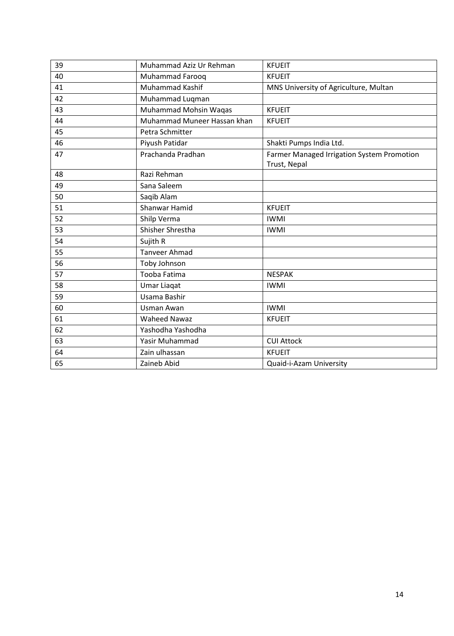| 39 | Muhammad Aziz Ur Rehman     | <b>KFUEIT</b>                              |
|----|-----------------------------|--------------------------------------------|
| 40 | Muhammad Farooq             | <b>KFUEIT</b>                              |
| 41 | <b>Muhammad Kashif</b>      | MNS University of Agriculture, Multan      |
| 42 | Muhammad Luqman             |                                            |
| 43 | Muhammad Mohsin Waqas       | <b>KFUEIT</b>                              |
| 44 | Muhammad Muneer Hassan khan | <b>KFUEIT</b>                              |
| 45 | Petra Schmitter             |                                            |
| 46 | Piyush Patidar              | Shakti Pumps India Ltd.                    |
| 47 | Prachanda Pradhan           | Farmer Managed Irrigation System Promotion |
|    |                             | Trust, Nepal                               |
| 48 | Razi Rehman                 |                                            |
| 49 | Sana Saleem                 |                                            |
| 50 | Saqib Alam                  |                                            |
| 51 | Shanwar Hamid               | <b>KFUEIT</b>                              |
| 52 | Shilp Verma                 | <b>IWMI</b>                                |
| 53 | Shisher Shrestha            | <b>IWMI</b>                                |
| 54 | Sujith R                    |                                            |
| 55 | <b>Tanveer Ahmad</b>        |                                            |
| 56 | Toby Johnson                |                                            |
| 57 | Tooba Fatima                | <b>NESPAK</b>                              |
| 58 | <b>Umar Liaqat</b>          | <b>IWMI</b>                                |
| 59 | Usama Bashir                |                                            |
| 60 | Usman Awan                  | <b>IWMI</b>                                |
| 61 | <b>Waheed Nawaz</b>         | <b>KFUEIT</b>                              |
| 62 | Yashodha Yashodha           |                                            |
| 63 | Yasir Muhammad              | <b>CUI Attock</b>                          |
| 64 | Zain ulhassan               | <b>KFUEIT</b>                              |
| 65 | Zaineb Abid                 | Quaid-i-Azam University                    |